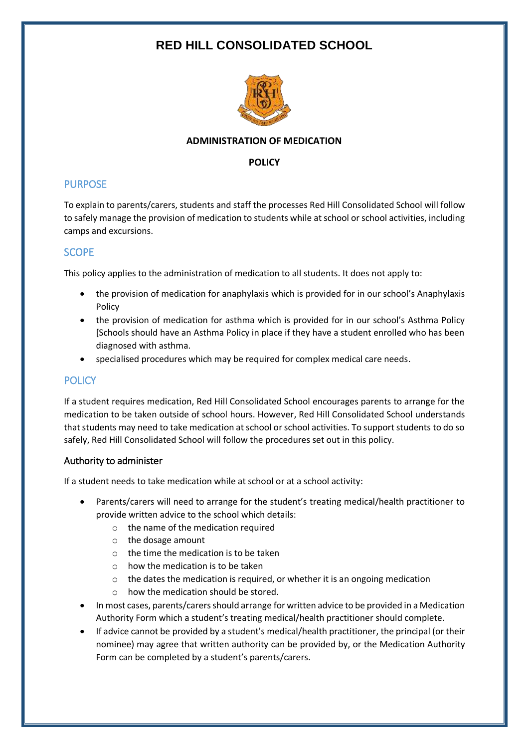# **RED HILL CONSOLIDATED SCHOOL**



### **ADMINISTRATION OF MEDICATION**

### **POLICY**

## PURPOSE

To explain to parents/carers, students and staff the processes Red Hill Consolidated School will follow to safely manage the provision of medication to students while at school or school activities, including camps and excursions.

# **SCOPE**

This policy applies to the administration of medication to all students. It does not apply to:

- the provision of medication for anaphylaxis which is provided for in our school's Anaphylaxis Policy
- the provision of medication for asthma which is provided for in our school's Asthma Policy [Schools should have an Asthma Policy in place if they have a student enrolled who has been diagnosed with asthma.
- specialised procedures which may be required for complex medical care needs.

# **POLICY**

If a student requires medication, Red Hill Consolidated School encourages parents to arrange for the medication to be taken outside of school hours. However, Red Hill Consolidated School understands that students may need to take medication at school or school activities. To support students to do so safely, Red Hill Consolidated School will follow the procedures set out in this policy.

## Authority to administer

If a student needs to take medication while at school or at a school activity:

- Parents/carers will need to arrange for the student's treating medical/health practitioner to provide written advice to the school which details:
	- o the name of the medication required
	- o the dosage amount
	- $\circ$  the time the medication is to be taken
	- o how the medication is to be taken
	- o the dates the medication is required, or whether it is an ongoing medication
	- o how the medication should be stored.
- In most cases, parents/carers should arrange for written advice to be provided in a Medication Authority Form which a student's treating medical/health practitioner should complete.
- If advice cannot be provided by a student's medical/health practitioner, the principal (or their nominee) may agree that written authority can be provided by, or the Medication Authority Form can be completed by a student's parents/carers.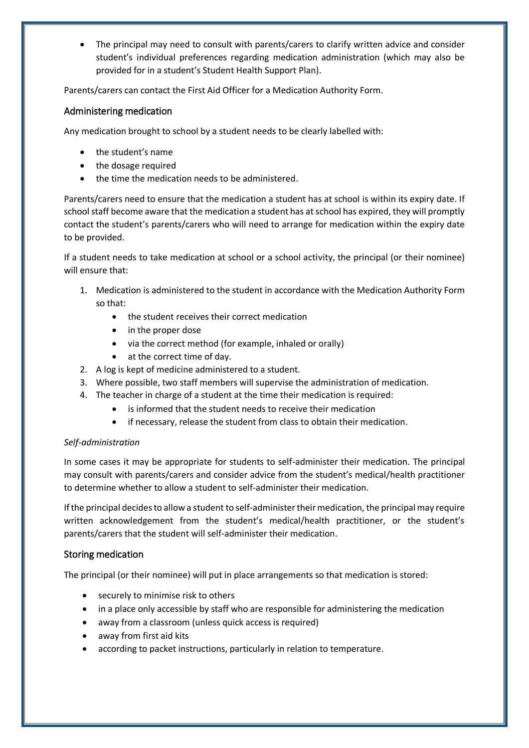The principal may need to consult with parents/carers to clarify written advice and consider student's individual preferences regarding medication administration (which may also be provided for in a student's Student Health Support Plan).

Parents/carers can contact the First Aid Officer for a Medication Authority Form.

#### Administering medication

Any medication brought to school by a student needs to be clearly labelled with:

- the student's name
- the dosage required
- the time the medication needs to be administered.

Parents/carers need to ensure that the medication a student has at school is within its expiry date. If school staff become aware that the medication a student has at school has expired, they will promptly contact the student's parents/carers who will need to arrange for medication within the expiry date to be provided.

If a student needs to take medication at school or a school activity, the principal (or their nominee) will ensure that:

- 1. Medication is administered to the student in accordance with the Medication Authority Form so that:
	- the student receives their correct medication
	- in the proper dose
	- via the correct method (for example, inhaled or orally)
	- at the correct time of day.
- 2. A log is kept of medicine administered to a student.
- 3. Where possible, two staff members will supervise the administration of medication.
- 4. The teacher in charge of a student at the time their medication is required:
	- is informed that the student needs to receive their medication
	- if necessary, release the student from class to obtain their medication.

#### *Self-administration*

In some cases it may be appropriate for students to self-administer their medication. The principal may consult with parents/carers and consider advice from the student's medical/health practitioner to determine whether to allow a student to self-administer their medication.

If the principal decides to allow a student to self-administer their medication, the principal may require written acknowledgement from the student's medical/health practitioner, or the student's parents/carers that the student will self-administer their medication.

#### Storing medication

The principal (or their nominee) will put in place arrangements so that medication is stored:

- securely to minimise risk to others
- in a place only accessible by staff who are responsible for administering the medication
- away from a classroom (unless quick access is required)
- away from first aid kits
- according to packet instructions, particularly in relation to temperature.